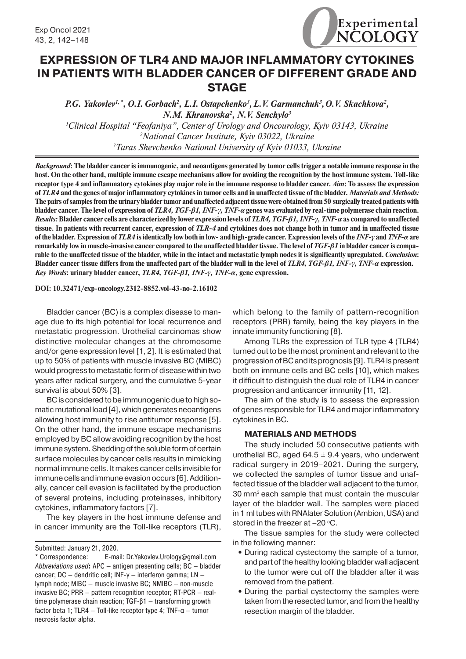

# **EXPRESSION OF TLR4 AND MAJOR INFLAMMATORY CYTOKINES IN PATIENTS WITH BLADDER CANCER OF DIFFERENT GRADE AND STAGE**

P.G. Yakovlev<sup>1,\*</sup>, O.I. Gorbach<sup>2</sup>, L.I. Ostapchenko<sup>3</sup>, L.V. Garmanchuk<sup>3</sup>, O.V. Skachkova<sup>2</sup>, *N.M. Khranovska2 , N.V. Senchylo3 1 Clinical Hospital "Feofaniya", Center of Urology and Oncourology, Kyiv 03143, Ukraine*

*2 National Cancer Institute, Kyiv 03022, Ukraine 3 Taras Shevchenko National University of Kyiv 01033, Ukraine*

*Background***: The bladder cancer is immunogenic, and neoantigens generated by tumor cells trigger a notable immune response in the host. On the other hand, multiple immune escape mechanisms allow for avoiding the recognition by the host immune system. Toll-like receptor type 4 and inflammatory cytokines play major role in the immune response to bladder cancer.** *Aim***: To assess the expression of** *TLR4* **and the genes of major inflammatory cytokines in tumor cells and in unaffected tissue of the bladder.** *Materials and Methods:* **The pairs of samples from the urinary bladder tumor and unaffected adjacent tissue were obtained from 50 surgically treated patients with bladder cancer. The level of expression of** *TLR4, TGF-β1, INF-γ, TNF-α* **genes was evaluated by real-time polymerase chain reaction.**  *Results:* **Bladder cancer cells are characterized by lower expression levels of** *TLR4, TGF-β1, INF-γ, TNF-α* **as compared to unaffected tissue. In patients with recurrent cancer, expression of** *TLR-4* **and cytokines does not change both in tumor and in unaffected tissue of the bladder. Expression of** *TLR4* **is identically low both in low- and high-grade cancer. Expression levels of the** *INF-γ* **and** *TNF-α* **are remarkably low in muscle-invasive cancer compared to the unaffected bladder tissue. The level of** *TGF-β1* **in bladder cancer is comparable to the unaffected tissue of the bladder, while in the intact and metastatic lymph nodes it is significantly upregulated.** *Conclusion***: Bladder cancer tissue differs from the unaffected part of the bladder wall in the level of** *TLR4, TGF-β1, INF-γ, TNF-α* **expression.** *Key Words***: urinary bladder cancer,** *TLR4, TGF-β1, INF-γ, TNF-α***, gene expression.**

## **DOI: 10.32471/exp-oncology.2312-8852.vol-43-no-2.16102**

Bladder cancer (BC) is a complex disease to manage due to its high potential for local recurrence and metastatic progression. Urothelial carcinomas show distinctive molecular changes at the chromosome and/or gene expression level [1, 2]. It is estimated that up to 50% of patients with muscle invasive BC (MIBC) would progress to metastatic form of disease within two years after radical surgery, and the cumulative 5-year survival is about 50% [3].

BC is considered to be immunogenic due to high somatic mutational load[4], which generates neoantigens allowing host immunity to rise antitumor response [5]. On the other hand, the immune escape mechanisms employed by BC allow avoiding recognition by the host immune system. Shedding of the soluble form of certain surface molecules by cancer cells results in mimicking normal immune cells. It makes cancer cells invisible for immune cells and immune evasion occurs [6]. Additionally, cancer cell evasion is facilitated by the production of several proteins, including proteinases, inhibitory cytokines, inflammatory factors [7].

The key players in the host immune defense and in cancer immunity are the Toll-like receptors (TLR), which belong to the family of pattern-recognition receptors (PRR) family, being the key players in the innate immunity functioning [8].

Among TLRs the expression of TLR type 4 (TLR4) turned out to be the most prominent and relevant to the progression of BC and its prognosis [9]. TLR4 is present both on immune cells and BC cells [10], which makes it difficult to distinguish the dual role of TLR4 in cancer progression and anticancer immunity [11, 12].

The aim of the study is to assess the expression of genes responsible for TLR4 and major inflammatory cytokines in BC.

### **MATERIALS AND METHODS**

The study included 50 consecutive patients with urothelial BC, aged 64.5  $\pm$  9.4 years, who underwent radical surgery in 2019–2021. During the surgery, we collected the samples of tumor tissue and unaffected tissue of the bladder wall adjacent to the tumor, 30 mm3 each sample that must contain the muscular layer of the bladder wall. The samples were placed in 1 ml tubes with RNAlater Solution (Ambion, USA) and stored in the freezer at  $-20$  °C.

The tissue samples for the study were collected in the following manner:

- **•** During radical cystectomy the sample of a tumor, and part of the healthy looking bladder wall adjacent to the tumor were cut off the bladder after it was removed from the patient.
- **•** During the partial cystectomy the samples were taken from the resected tumor, and from the healthy resection margin of the bladder.

Submitted: January 21, 2020.

<sup>\*</sup> Correspondence: E-mail: Dr.Yakovlev.Urology@gmail.com *Abbreviations used***:** APC — antigen presenting cells; BC — bladder cancer; DC — dendritic cell; INF-γ — interferon gamma; LN lymph node; MIBC — muscle invasive BC; NMIBC — non-muscle invasive BC; PRR — pattern recognition receptor; RT-PCR — realtime polymerase chain reaction; TGF-β1 — transforming growth factor beta 1; TLR4 – Toll-like receptor type 4; TNF- $\alpha$  – tumor necrosis factor alpha.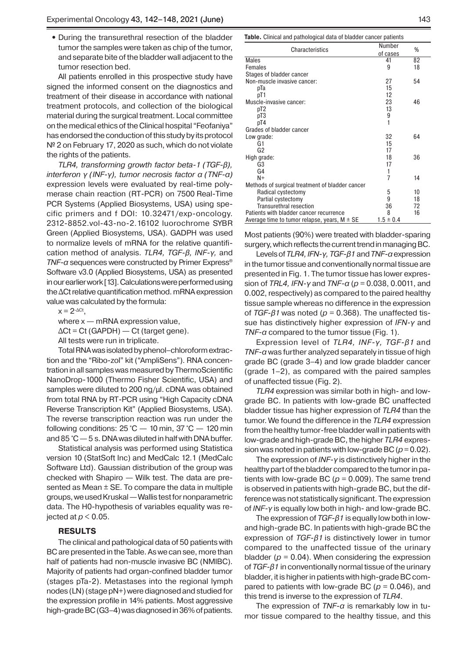• During the transurethral resection of the bladder tumor the samples were taken as chip of the tumor, and separate bite of the bladder wall adjacent to the tumor resection bed.

All patients enrolled in this prospective study have signed the informed consent on the diagnostics and treatment of their disease in accordance with national treatment protocols, and collection of the biological material during the surgical treatment. Local committee on the medical ethics of the Clinical hospital "Feofaniya" has endorsed the conduction of this study by its protocol № 2 on February 17, 2020 as such, which do not violate the rights of the patients.

*TLR4, transforming growth factor beta-1 (TGF-β), interferon γ (INF-γ), tumor necrosis factor α (TNF-α)* expression levels were evaluated by real-time polymerase chain reaction (RT-PCR) on 7500 Real-Time PCR Systems (Applied Bіosystems, USA) using specific primers and f DOI: 10.32471/exp-oncology. 2312-8852.vol-43-no-2.16102 luorochrome SYBR Green (Applied Bіosystems, USA). GADPH was used to normalize levels of mRNA for the relative quantification method of analysis. *TLR4, TGF-β, INF-γ,* and *TNF-α* sequences were constructed by Primer Express® Software v3.0 (Applied Biosystems, USA) as presented in our earlier work [13]. Calculations were performed using the ΔCt relative quantification method. mRNA expression value was calculated by the formula:

 $x = 2^{-\Delta C t}$ .

where  $x - mRNA$  expression value,

 $\Delta$ Ct = Ct (GAPDH) — Ct (target gene).

All tests were run in triplicate.

Total RNA was isolated by phenol–chloroform extraction and the "Ribo-zol" kit ("AmpliSens"). RNA concentration in all samples was measured by ThermoScientific NanoDrop-1000 (Thermo Fisher Scientific, USA) and samples were diluted to 200 ng/μl. cDNA was obtained from total RNA by RT-PCR using "High Capacity cDNA Reverse Transcription Kit" (Applied Biosystems, USA). The reverse transcription reaction was run under the following conditions:  $25 \degree C - 10 \text{ min}$ ,  $37 \degree C - 120 \text{ min}$ and 85 °C— 5 s. DNA was diluted in half with DNA buffer.

Statistical analysis was performed using Statistica version 10 (StatSoft Inc) and MedCalc 12.1 (MedCalc Software Ltd). Gaussian distribution of the group was checked with Shapiro — Wilk test. The data are presented as Mean  $\pm$  SE. To compare the data in multiple groups, we used Kruskal— Wallis test for nonparametric data. The H0-hypothesis of variables equality was rejected at  $p < 0.05$ .

# **RESULTS**

The clinical and pathological data of 50 patients with BC are presented in the Table. As we can see, more than half of patients had non-muscle invasive BC (NMIBC). Majority of patients had organ-confined bladder tumor (stages pTa-2). Metastases into the regional lymph nodes (LN) (stage pN+) were diagnosed and studied for the expression profile in 14% patients. Most aggressive high-grade BC (G3–4) was diagnosed in 36% of patients.

**Table.** Clinical and pathological data of bladder cancer patients

| Characteristics                                  | Number        | %  |
|--------------------------------------------------|---------------|----|
|                                                  | of cases      |    |
| Males                                            | 41            | 82 |
| Females                                          | 9             | 18 |
| Stages of bladder cancer                         |               |    |
| Non-muscle invasive cancer:                      | 27            | 54 |
| pТа                                              | 15            |    |
| pT1                                              | 12            |    |
| Muscle-invasive cancer:                          | 23            | 46 |
| pT2                                              | 13            |    |
| pT3                                              | 9             |    |
| pT4                                              | 1             |    |
| Grades of bladder cancer                         |               |    |
| Low grade:                                       | 32            | 64 |
| G1                                               | 15            |    |
| G <sub>2</sub>                                   | 17            |    |
| High grade:                                      | 18            | 36 |
| G3                                               | 17            |    |
| G4                                               | 1             |    |
| $N+$                                             | 7             | 14 |
| Methods of surgical treatment of bladder cancer  |               |    |
| Radical cystectomy                               | 5             | 10 |
| Partial cystectomy                               | 9             | 18 |
| Transurethral resection                          | 36            | 72 |
| Patients with bladder cancer recurrence          | 8             | 16 |
| Average time to tumor relapse, years, $M \pm SE$ | $1.5 \pm 0.4$ |    |

Most patients (90%) were treated with bladder-sparing surgery, which reflects the current trend in managing BC.

Levels of *TLR4, IFN-γ, TGF-β1* and *TNF-α* expression in the tumor tissue and conventionally normal tissue are presented in Fig. 1. The tumor tissue has lower expression of *TRL4, IFN-γ* and *TNF-α* (*p* = 0.038, 0.0011, and 0.002, respectively) as compared to the paired healthy tissue sample whereas no difference in the expression of *TGF-β1* was noted (*p* = 0.368). The unaffected tissue has distinctively higher expression of *IFN-γ* and *TNF-α* compared to the tumor tissue (Fig. 1).

Expression level of *TLR4, INF-γ, TGF-β1* and *TNF-α* was further analyzed separately in tissue of high grade BC (grade 3–4) and low grade bladder cancer (grade 1–2), as compared with the paired samples of unaffected tissue (Fig. 2).

*TLR4* expression was similar both in high- and lowgrade BC. In patients with low-grade BC unaffected bladder tissue has higher expression of *TLR4* than the tumor. We found the difference in the *TLR4* expression from the healthy tumor-free bladder wall in patients with low-grade and high-grade BC, the higher *TLR4* expression was noted in patients with low-grade BC (*p*= 0.02).

The expression of *INF-γ* is distinctively higher in the healthy part of the bladder compared to the tumor in patients with low-grade BC ( $p = 0.009$ ). The same trend is observed in patients with high-grade BC, but the difference was not statistically significant. The expression of *INF-γ* is equally low both in high- and low-grade BC.

The expression of *TGF-β1* is equally low both in lowand high-grade BC. In patients with high-grade BC the expression of *TGF-β1* is distinctively lower in tumor compared to the unaffected tissue of the urinary bladder ( $p = 0.04$ ). When considering the expression of *TGF-β1* in conventionally normal tissue of the urinary bladder, it is higher in patients with high-grade BC compared to patients with low-grade BC ( $p = 0.046$ ), and this trend is inverse to the expression of *TLR4*.

The expression of *TNF-α* is remarkably low in tumor tissue compared to the healthy tissue, and this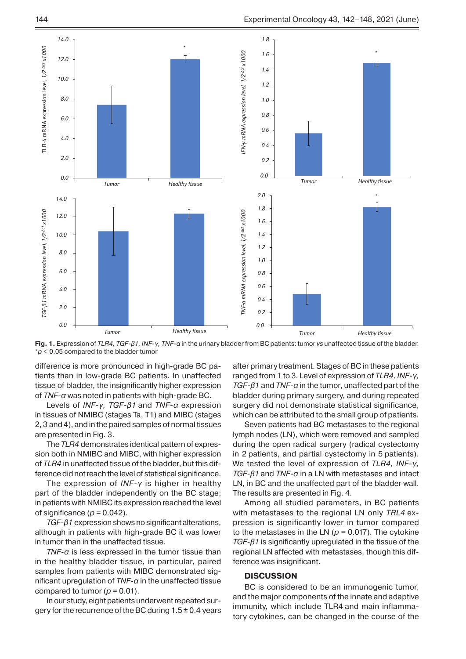

**Fig. 1.** Expression of *TLR4, TGF-β1, INF-γ, TNF-α* in the urinary bladder from BC patients: tumor *vs* unaffected tissue of the bladder. \**p* < 0.05 compared to the bladder tumor

difference is more pronounced in high-grade BC patients than in low-grade BC patients. In unaffected tissue of bladder, the insignificantly higher expression of *TNF-α* was noted in patients with high-grade BC.

Levels of *INF-γ, TGF-β1* and *TNF-α* expression in tissues of NMIBC (stages Ta, T1) and MIBC (stages 2, 3 and 4), and in the paired samples of normal tissues are presented in Fig. 3.

The *TLR4* demonstrates identical pattern of expression both in NMIBC and MIBC, with higher expression of *TLR4* in unaffected tissue of the bladder, but this difference did not reach the level of statistical significance.

The expression of *INF-γ* is higher in healthy part of the bladder independently on the BC stage; in patients with NMIBC its expression reached the level of significance  $(p = 0.042)$ .

*TGF-β1* expression shows no significant alterations, although in patients with high-grade BC it was lower in tumor than in the unaffected tissue.

*TNF-α* is less expressed in the tumor tissue than in the healthy bladder tissue, in particular, paired samples from patients with MIBC demonstrated significant upregulation of *TNF-α* in the unaffected tissue compared to tumor ( $p = 0.01$ ).

In our study, eight patients underwent repeated surgery for the recurrence of the BC during  $1.5\pm0.4$  years

after primary treatment. Stages of BC in these patients ranged from 1 to 3. Level of expression of *TLR4, INF-γ, TGF-β1* and *TNF-α* in the tumor, unaffected part of the bladder during primary surgery, and during repeated surgery did not demonstrate statistical significance, which can be attributed to the small group of patients.

Seven patients had BC metastases to the regional lymph nodes (LN), which were removed and sampled during the open radical surgery (radical cystectomy in 2 patients, and partial cystectomy in 5 patients). We tested the level of expression of *TLR4, INF-γ, TGF-β1* and *TNF-α* in a LN with metastases and intact LN, in BC and the unaffected part of the bladder wall. The results are presented in Fig. 4.

Among all studied parameters, in BC patients with metastases to the regional LN only *TRL4* expression is significantly lower in tumor compared to the metastases in the LN ( $p = 0.017$ ). The cytokine *TGF-β1* is significantly upregulated in the tissue of the regional LN affected with metastases, though this difference was insignificant.

# **DISCUSSION**

BC is considered to be an immunogenic tumor, and the major components of the innate and adaptive immunity, which include TLR4 and main inflammatory cytokines, can be changed in the course of the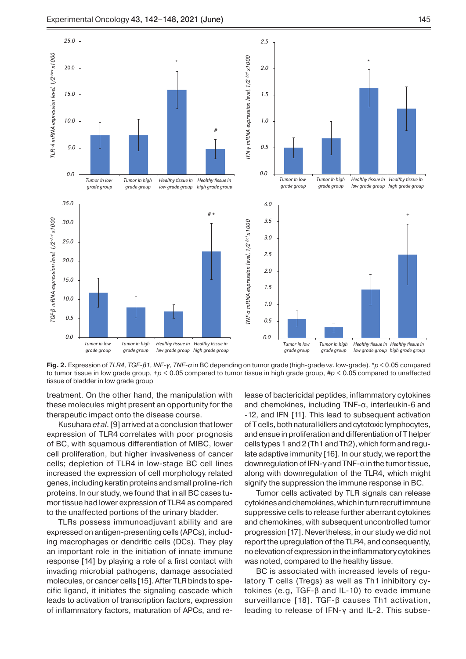

**Fig. 2.** Expression of *TLR4, TGF-β1, INF-γ, TNF-α* in BC depending on tumor grade (high-grade *vs*. low-grade). \**p* < 0.05 compared to tumor tissue in low grade group, +*p* < 0.05 compared to tumor tissue in high grade group, #*p* < 0.05 compared to unaffected tissue of bladder in low grade group

treatment. On the other hand, the manipulation with these molecules might present an opportunity for the therapeutic impact onto the disease course.

Kusuhara *et al*.[9] arrived at a conclusion that lower expression of TLR4 correlates with poor prognosis of BC, with squamous differentiation of MIBC, lower cell proliferation, but higher invasiveness of cancer cells; depletion of TLR4 in low-stage BC cell lines increased the expression of cell morphology related genes, including keratin proteins and small proline-rich proteins. In our study, we found that in all BC cases tumor tissue had lower expression of TLR4 as compared to the unaffected portions of the urinary bladder.

TLRs possess immunoadjuvant ability and are expressed on antigen-presenting cells (APCs), including macrophages or dendritic cells (DCs). They play an important role in the initiation of innate immune response [14] by playing a role of a first contact with invading microbial pathogens, damage associated molecules, or cancer cells [15]. After TLR binds to specific ligand, it initiates the signaling cascade which leads to activation of transcription factors, expression of inflammatory factors, maturation of APCs, and release of bactericidal peptides, inflammatory cytokines and chemokines, including TNF-α, interleukin-6 and -12, and IFN [11]. This lead to subsequent activation of T cells, both natural killers and cytotoxic lymphocytes, and ensue in proliferation and differentiation of T helper cells types 1 and 2 (Th1 and Th2), which form and regulate adaptive immunity [16]. In our study, we report the downregulation of IFN-γ and TNF-α in the tumor tissue, along with downregulation of the TLR4, which might signify the suppression the immune response in BC.

Tumor cells activated by TLR signals can release cytokines and chemokines, which in turn recruit immune suppressive cells to release further aberrant cytokines and chemokines, with subsequent uncontrolled tumor progression [17]. Nevertheless, in our study we did not report the upregulation of the TLR4, and consequently, no elevation of expression in the inflammatory cytokines was noted, compared to the healthy tissue.

BC is associated with increased levels of regulatory T cells (Tregs) as well as Th1 inhibitory cytokines (e.g, TGF-β and IL-10) to evade immune surveillance [18]. TGF-β causes Th1 activation, leading to release of IFN-γ and IL-2. This subse-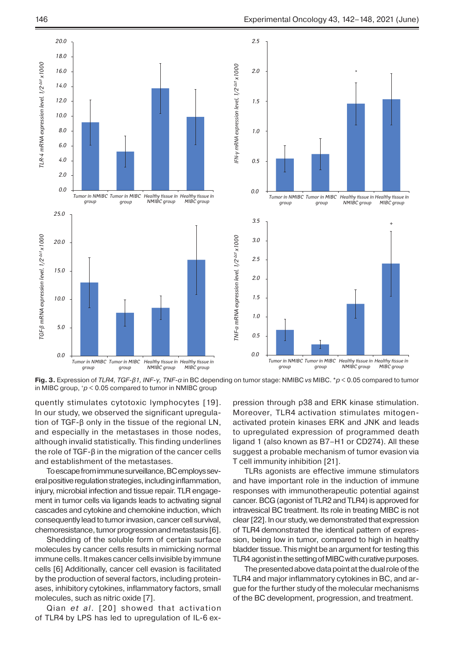

**Fig. 3.** Expression of *TLR4, TGF-β1, INF-γ, TNF-α* in BC depending on tumor stage: NMIBC *vs* MIBC. \**p* < 0.05 compared to tumor in MIBC group, +*p* < 0.05 compared to tumor in NMIBC group

quently stimulates cytotoxic lymphocytes [19]. In our study, we observed the significant upregulation of TGF-β only in the tissue of the regional LN, and especially in the metastases in those nodes, although invalid statistically. This finding underlines the role of TGF-β in the migration of the cancer cells and establishment of the metastases.

To escape from immune surveillance, BC employs several positive regulation strategies, including inflammation, injury, microbial infection and tissue repair. TLR engagement in tumor cells via ligands leads to activating signal cascades and cytokine and chemokine induction, which consequently lead to tumor invasion, cancer cell survival, chemoresistance, tumor progression and metastasis[6].

Shedding of the soluble form of certain surface molecules by cancer cells results in mimicking normal immune cells. It makes cancer cells invisible by immune cells [6] Additionally, cancer cell evasion is facilitated by the production of several factors, including proteinases, inhibitory cytokines, inflammatory factors, small molecules, such as nitric oxide [7].

Qian *et al*. [20] showed that activation of TLR4 by LPS has led to upregulation of IL-6 expression through p38 and ERK kinase stimulation. Moreover, TLR4 activation stimulates mitogenactivated protein kinases ERK and JNK and leads to upregulated expression of programmed death ligand 1 (also known as B7–H1 or CD274). All these suggest a probable mechanism of tumor evasion via T cell immunity inhibition [21].

TLRs agonists are effective immune stimulators and have important role in the induction of immune responses with immunotherapeutic potential against cancer. BCG (agonist of TLR2 and TLR4) is approved for intravesical BC treatment. Its role in treating MIBC is not clear[22]. In our study, we demonstrated that expression of TLR4 demonstrated the identical pattern of expression, being low in tumor, compared to high in healthy bladder tissue. This might be an argument for testing this TLR4 agonist in the setting of MIBC with curative purposes.

The presented above data point at the dual role of the TLR4 and major inflammatory cytokines in BC, and argue for the further study of the molecular mechanisms of the BC development, progression, and treatment.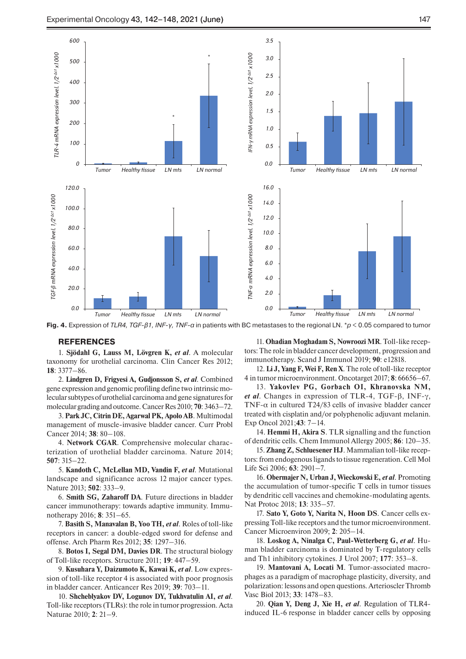

**Fig. 4.** Expression of *TLR4, TGF-β1, INF-γ, TNF-α* in patients with BC metastases to the regional LN. \**p* < 0.05 compared to tumor

### **REFERENCES**

1. **Sjödahl G, Lauss M, Lövgren K,** *et al*. A molecular taxonomy for urothelial carcinoma. Clin Cancer Res 2012; **18**: 3377–86.

2. **Lindgren D, Frigyesi A, Gudjonsson S,** *et al*. Combined gene expression and genomic profiling define two intrinsic molecular subtypes of urothelial carcinoma and gene signatures for molecular grading and outcome. Cancer Res 2010; **70**: 3463–72.

3. **Park JC, Citrin DE, Agarwal PK, Apolo AB**. Multimodal management of muscle-invasive bladder cancer. Curr Probl Cancer 2014; **38**: 80–108.

4. **Network CGAR**. Comprehensive molecular characterization of urothelial bladder carcinoma. Nature 2014; **507**: 315–22.

5. **Kandoth C, McLellan MD, Vandin F,** *et al*. Mutational landscape and significance across 12 major cancer types. Nature 2013; **502**: 333–9.

6. **Smith SG, Zaharoff DA**. Future directions in bladder cancer immunotherapy: towards adaptive immunity. Immunotherapy 2016; **8**: 351–65.

7. **Basith S, Manavalan B, Yoo TH,** *et al*. Roles of toll-like receptors in cancer: a double-edged sword for defense and offense. Arch Pharm Res 2012; **35**: 1297–316.

8. **Botos I, Segal DM, Davies DR**. The structural biology of Toll-like receptors. Structure 2011; **19**: 447–59.

9. **Kusuhara Y, Daizumoto K, Kawai K,** *et al*. Low expression of toll-like receptor 4 is associated with poor prognosis in bladder cancer. Anticancer Res 2019; **39**: 703–11.

10. **Shcheblyakov DV, Logunov DY, Tukhvatulin AI,** *et al*. Toll-like receptors (TLRs): the role in tumor progression. Acta Naturae 2010; **2**: 21–9.

11. **Ohadian Moghadam S, Nowroozi MR**. Toll-like receptors: The role in bladder cancer development, progression and immunotherapy. Scand J Immunol 2019; **90**: e12818.

12. **Li J, Yang F, Wei F, Ren X**. The role of toll-like receptor 4 in tumor microenvironment. Oncotarget 2017; **8**: 66656–67.

13. **Yakovlev PG, Gorbach OI, Khranovska NM,**  *et al*. Changes in expression of TLR-4, TGF-β, INF-γ, TNF- $\alpha$  in cultured T24/83 cells of invasive bladder cancer treated with cisplatin and/or polyphenolic adjuvant melanin. Exp Oncol 2021;**43**: 7–14.

14. **Hemmi H, Akira S**. TLR signalling and the function of dendritic cells. Chem Immunol Allergy 2005; **86**: 120–35.

15. **Zhang Z, Schluesener HJ**. Mammalian toll-like receptors: from endogenous ligands to tissue regeneration. Cell Mol Life Sci 2006; **63**: 2901–7.

16. **Obermajer N, Urban J, Wieckowski E,** *et al*. Promoting the accumulation of tumor-specific T cells in tumor tissues by dendritic cell vaccines and chemokine-modulating agents. Nat Protoc 2018; **13**: 335–57.

17. **Sato Y, Goto Y, Narita N, Hoon DS**. Cancer cells expressing Toll-like receptors and the tumor microenvironment. Cancer Microenviron 2009; **2**: 205–14.

18. **Loskog A, Ninalga C, Paul-Wetterberg G,** *et al*. Human bladder carcinoma is dominated by T-regulatory cells and Th1 inhibitory cytokines. J Urol 2007; **177**: 353–8.

19. **Mantovani A, Locati M**. Tumor-associated macrophages as a paradigm of macrophage plasticity, diversity, and polarization: lessons and open questions. Arterioscler Thromb Vasc Biol 2013; **33**: 1478–83.

20. **Qian Y, Deng J, Xie H,** *et al*. Regulation of TLR4 induced IL-6 response in bladder cancer cells by opposing